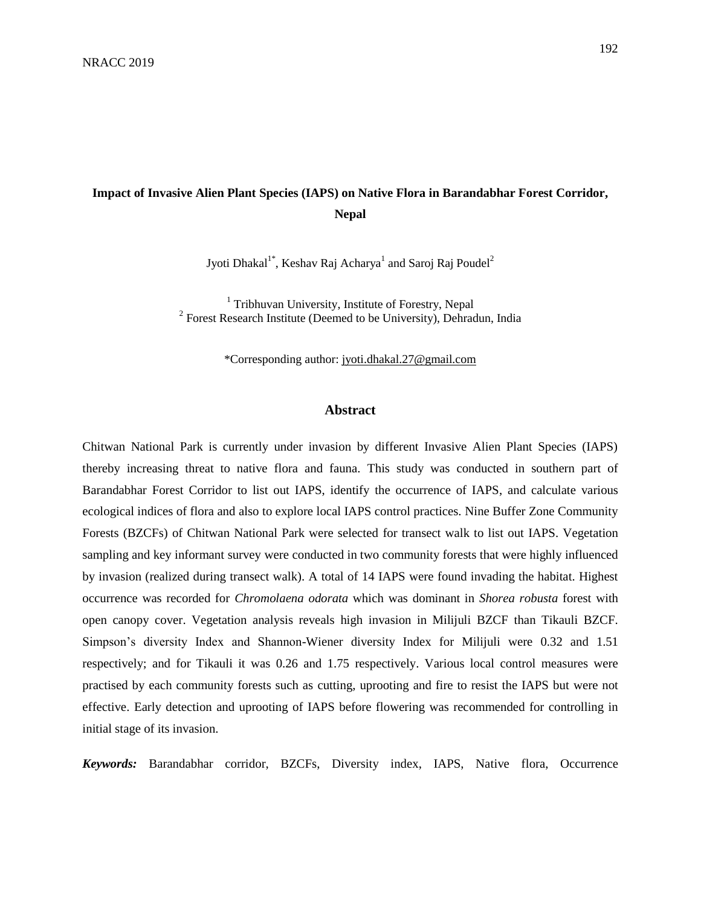# **Impact of Invasive Alien Plant Species (IAPS) on Native Flora in Barandabhar Forest Corridor, Nepal**

Jyoti Dhakal $^{1*}$ , Keshav Raj Acharya $^{1}$  and Saroj Raj Poudel $^{2}$ 

<sup>1</sup> Tribhuvan University, Institute of Forestry, Nepal <sup>2</sup> Forest Research Institute (Deemed to be University), Dehradun, India

\*Corresponding author: [jyoti.dhakal.27@gmail.com](mailto:jyoti.dhakal.27@gmail.com)

#### **Abstract**

Chitwan National Park is currently under invasion by different Invasive Alien Plant Species (IAPS) thereby increasing threat to native flora and fauna. This study was conducted in southern part of Barandabhar Forest Corridor to list out IAPS, identify the occurrence of IAPS, and calculate various ecological indices of flora and also to explore local IAPS control practices. Nine Buffer Zone Community Forests (BZCFs) of Chitwan National Park were selected for transect walk to list out IAPS. Vegetation sampling and key informant survey were conducted in two community forests that were highly influenced by invasion (realized during transect walk). A total of 14 IAPS were found invading the habitat. Highest occurrence was recorded for *Chromolaena odorata* which was dominant in *Shorea robusta* forest with open canopy cover. Vegetation analysis reveals high invasion in Milijuli BZCF than Tikauli BZCF. Simpson's diversity Index and Shannon-Wiener diversity Index for Milijuli were 0.32 and 1.51 respectively; and for Tikauli it was 0.26 and 1.75 respectively. Various local control measures were practised by each community forests such as cutting, uprooting and fire to resist the IAPS but were not effective. Early detection and uprooting of IAPS before flowering was recommended for controlling in initial stage of its invasion.

*Keywords:* Barandabhar corridor, BZCFs, Diversity index, IAPS, Native flora, Occurrence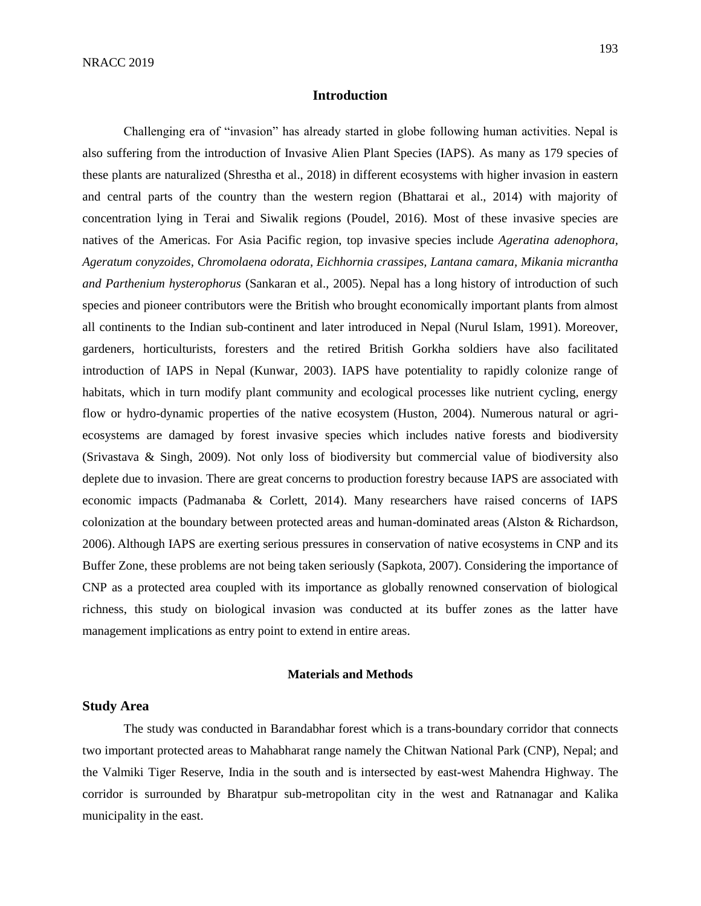#### **Introduction**

Challenging era of "invasion" has already started in globe following human activities. Nepal is also suffering from the introduction of Invasive Alien Plant Species (IAPS). As many as 179 species of these plants are naturalized (Shrestha et al., 2018) in different ecosystems with higher invasion in eastern and central parts of the country than the western region (Bhattarai et al., 2014) with majority of concentration lying in Terai and Siwalik regions (Poudel, 2016). Most of these invasive species are natives of the Americas. For Asia Pacific region, top invasive species include *Ageratina adenophora, Ageratum conyzoides, Chromolaena odorata, Eichhornia crassipes, Lantana camara, Mikania micrantha and Parthenium hysterophorus* (Sankaran et al., 2005). Nepal has a long history of introduction of such species and pioneer contributors were the British who brought economically important plants from almost all continents to the Indian sub-continent and later introduced in Nepal (Nurul Islam, 1991). Moreover, gardeners, horticulturists, foresters and the retired British Gorkha soldiers have also facilitated introduction of IAPS in Nepal (Kunwar, 2003). IAPS have potentiality to rapidly colonize range of habitats, which in turn modify plant community and ecological processes like nutrient cycling, energy flow or hydro-dynamic properties of the native ecosystem (Huston, 2004). Numerous natural or agriecosystems are damaged by forest invasive species which includes native forests and biodiversity (Srivastava & Singh, 2009). Not only loss of biodiversity but commercial value of biodiversity also deplete due to invasion. There are great concerns to production forestry because IAPS are associated with economic impacts (Padmanaba & Corlett, 2014). Many researchers have raised concerns of IAPS colonization at the boundary between protected areas and human-dominated areas (Alston & Richardson, 2006). Although IAPS are exerting serious pressures in conservation of native ecosystems in CNP and its Buffer Zone, these problems are not being taken seriously (Sapkota, 2007). Considering the importance of CNP as a protected area coupled with its importance as globally renowned conservation of biological richness, this study on biological invasion was conducted at its buffer zones as the latter have management implications as entry point to extend in entire areas.

#### **Materials and Methods**

#### **Study Area**

The study was conducted in Barandabhar forest which is a trans-boundary corridor that connects two important protected areas to Mahabharat range namely the Chitwan National Park (CNP), Nepal; and the Valmiki Tiger Reserve, India in the south and is intersected by east-west Mahendra Highway. The corridor is surrounded by Bharatpur sub-metropolitan city in the west and Ratnanagar and Kalika municipality in the east.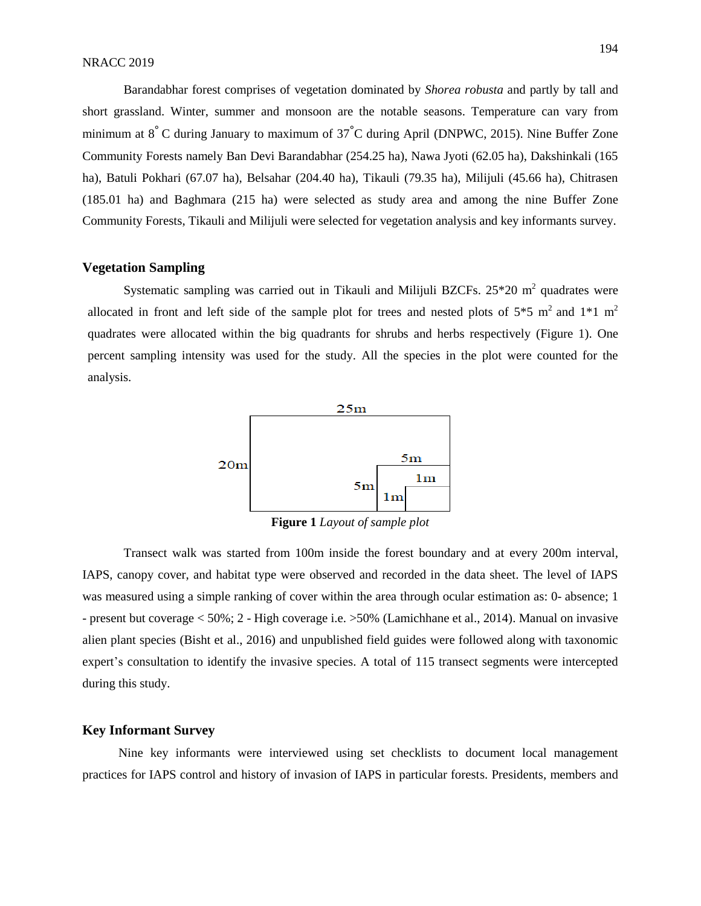Barandabhar forest comprises of vegetation dominated by *Shorea robusta* and partly by tall and short grassland. Winter, summer and monsoon are the notable seasons. Temperature can vary from minimum at 8° C during January to maximum of 37°C during April (DNPWC, 2015). Nine Buffer Zone Community Forests namely Ban Devi Barandabhar (254.25 ha), Nawa Jyoti (62.05 ha), Dakshinkali (165 ha), Batuli Pokhari (67.07 ha), Belsahar (204.40 ha), Tikauli (79.35 ha), Milijuli (45.66 ha), Chitrasen (185.01 ha) and Baghmara (215 ha) were selected as study area and among the nine Buffer Zone Community Forests, Tikauli and Milijuli were selected for vegetation analysis and key informants survey.

#### **Vegetation Sampling**

Systematic sampling was carried out in Tikauli and Milijuli BZCFs.  $25*20$  m<sup>2</sup> quadrates were allocated in front and left side of the sample plot for trees and nested plots of  $5*5$  m<sup>2</sup> and  $1*1$  m<sup>2</sup> quadrates were allocated within the big quadrants for shrubs and herbs respectively (Figure 1). One percent sampling intensity was used for the study. All the species in the plot were counted for the analysis.



**Figure 1** *Layout of sample plot*

Transect walk was started from 100m inside the forest boundary and at every 200m interval, IAPS, canopy cover, and habitat type were observed and recorded in the data sheet. The level of IAPS was measured using a simple ranking of cover within the area through ocular estimation as: 0- absence; 1 - present but coverage < 50%; 2 - High coverage i.e. >50% (Lamichhane et al., 2014). Manual on invasive alien plant species (Bisht et al., 2016) and unpublished field guides were followed along with taxonomic expert's consultation to identify the invasive species. A total of 115 transect segments were intercepted during this study.

#### **Key Informant Survey**

Nine key informants were interviewed using set checklists to document local management practices for IAPS control and history of invasion of IAPS in particular forests. Presidents, members and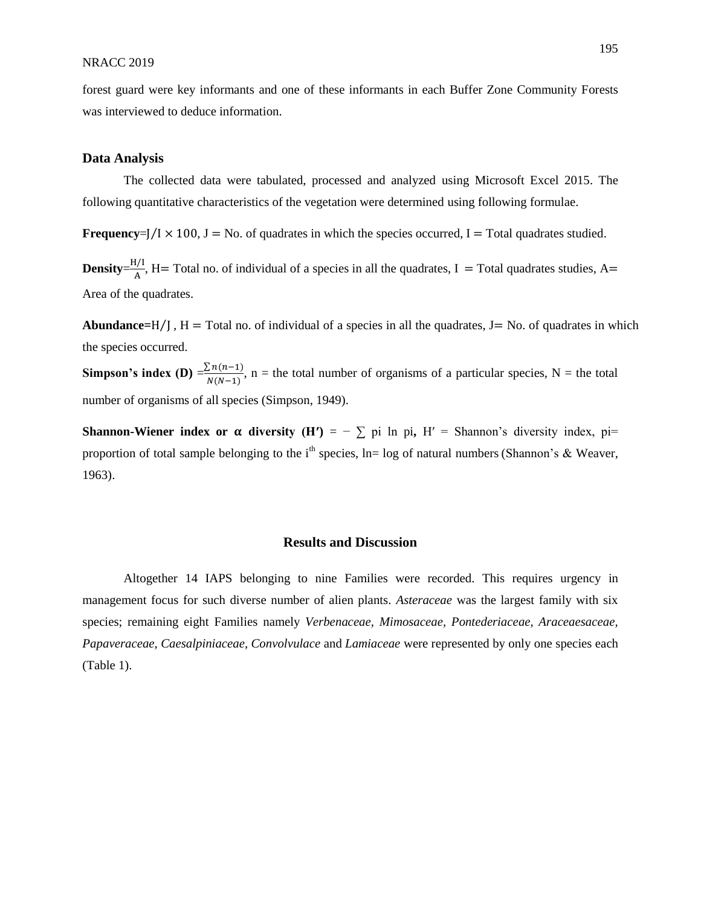forest guard were key informants and one of these informants in each Buffer Zone Community Forests was interviewed to deduce information.

#### **Data Analysis**

The collected data were tabulated, processed and analyzed using Microsoft Excel 2015. The following quantitative characteristics of the vegetation were determined using following formulae.

**Frequency**= $]/I \times 100$ ,  $J = No$ . of quadrates in which the species occurred,  $I = Total$  quadrates studied.

 $Density = \frac{H/I}{A}$  $\frac{M_1}{A}$ , H= Total no. of individual of a species in all the quadrates, I = Total quadrates studies, A= Area of the quadrates.

**Abundance=** $H/I$ **, H = \text{Total no. of individual of a species in all the quadrates, <math>J = \text{No. of quadrates in which}</math>** the species occurred.

**Simpson's index (D)** =  $\frac{\sum n(n-1)}{N(N-1)}$  $(n(n-1), n =$  the total number of organisms of a particular species, N = the total  $N(N-1)$ number of organisms of all species (Simpson, 1949).

**Shannon-Wiener index or**  $\alpha$  **diversity (H') = -**  $\sum$  **pi ln pi, H' = Shannon's diversity index, pi=** proportion of total sample belonging to the i<sup>th</sup> species, ln= log of natural numbers (Shannon's & Weaver, 1963).

#### **Results and Discussion**

Altogether 14 IAPS belonging to nine Families were recorded. This requires urgency in management focus for such diverse number of alien plants. *Asteraceae* was the largest family with six species; remaining eight Families namely *Verbenaceae, Mimosaceae, Pontederiaceae, Araceaesaceae, Papaveraceae, Caesalpiniaceae, Convolvulace* and *Lamiaceae* were represented by only one species each (Table 1).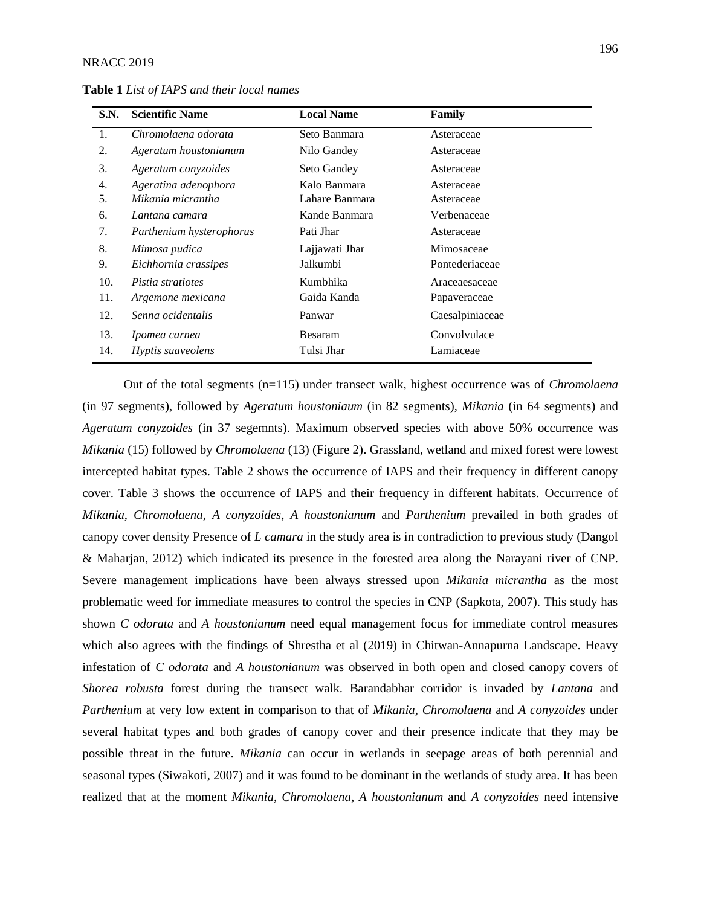| <b>S.N.</b> | <b>Scientific Name</b>   | <b>Local Name</b> | Family          |
|-------------|--------------------------|-------------------|-----------------|
| 1.          | Chromolaena odorata      | Seto Banmara      | Asteraceae      |
| 2.          | Ageratum houstonianum    | Nilo Gandey       | Asteraceae      |
| 3.          | Ageratum conyzoides      | Seto Gandey       | Asteraceae      |
| 4.          | Ageratina adenophora     | Kalo Banmara      | Asteraceae      |
| 5.          | Mikania micrantha        | Lahare Banmara    | Asteraceae      |
| 6.          | Lantana camara           | Kande Banmara     | Verbenaceae     |
| 7.          | Parthenium hysterophorus | Pati Jhar         | Asteraceae      |
| 8.          | Mimosa pudica            | Lajjawati Jhar    | Mimosaceae      |
| 9.          | Eichhornia crassipes     | Jalkumbi          | Pontederiaceae  |
| 10.         | Pistia stratiotes        | Kumbhika          | Araceaesaceae   |
| 11.         | Argemone mexicana        | Gaida Kanda       | Papaveraceae    |
| 12.         | Senna ocidentalis        | Panwar            | Caesalpiniaceae |
| 13.         | Ipomea carnea            | Besaram           | Convolvulace    |
| 14.         | <i>Hyptis suaveolens</i> | Tulsi Jhar        | Lamiaceae       |

**Table 1** *List of IAPS and their local names*

Out of the total segments (n=115) under transect walk, highest occurrence was of *Chromolaena* (in 97 segments), followed by *Ageratum houstoniaum* (in 82 segments), *Mikania* (in 64 segments) and *Ageratum conyzoides* (in 37 segemnts). Maximum observed species with above 50% occurrence was *Mikania* (15) followed by *Chromolaena* (13) (Figure 2). Grassland, wetland and mixed forest were lowest intercepted habitat types. Table 2 shows the occurrence of IAPS and their frequency in different canopy cover. Table 3 shows the occurrence of IAPS and their frequency in different habitats. Occurrence of *Mikania*, *Chromolaena*, *A conyzoides*, *A houstonianum* and *Parthenium* prevailed in both grades of canopy cover density Presence of *L camara* in the study area is in contradiction to previous study (Dangol & Maharjan, 2012) which indicated its presence in the forested area along the Narayani river of CNP. Severe management implications have been always stressed upon *Mikania micrantha* as the most problematic weed for immediate measures to control the species in CNP (Sapkota, 2007). This study has shown *C odorata* and *A houstonianum* need equal management focus for immediate control measures which also agrees with the findings of Shrestha et al (2019) in Chitwan-Annapurna Landscape. Heavy infestation of *C odorata* and *A houstonianum* was observed in both open and closed canopy covers of *Shorea robusta* forest during the transect walk. Barandabhar corridor is invaded by *Lantana* and *Parthenium* at very low extent in comparison to that of *Mikania*, *Chromolaena* and *A conyzoides* under several habitat types and both grades of canopy cover and their presence indicate that they may be possible threat in the future. *Mikania* can occur in wetlands in seepage areas of both perennial and seasonal types (Siwakoti, 2007) and it was found to be dominant in the wetlands of study area. It has been realized that at the moment *Mikania*, *Chromolaena*, *A houstonianum* and *A conyzoides* need intensive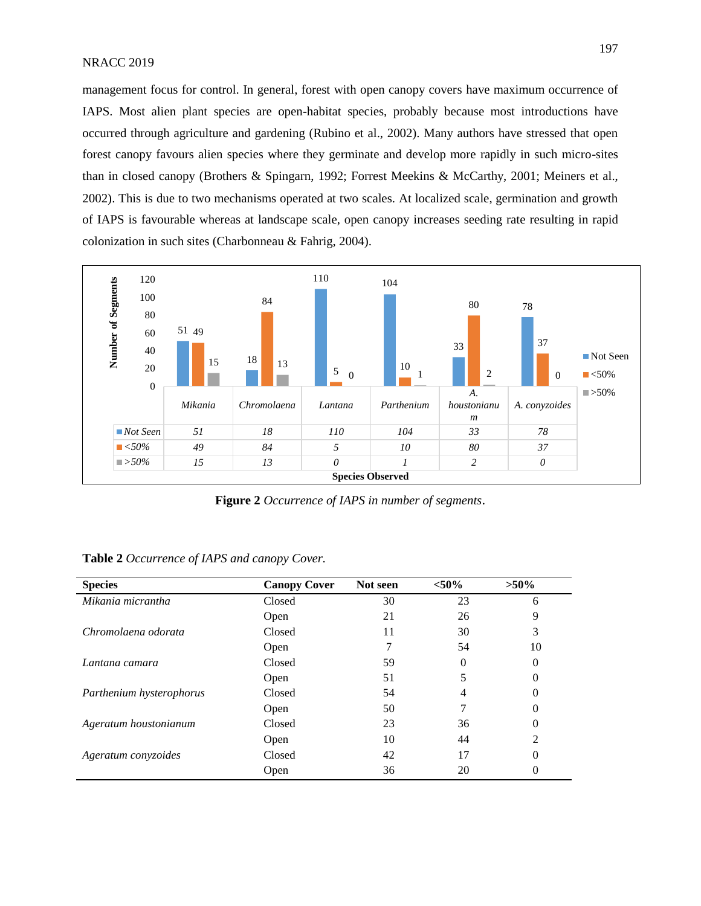management focus for control. In general, forest with open canopy covers have maximum occurrence of IAPS. Most alien plant species are open-habitat species, probably because most introductions have occurred through agriculture and gardening (Rubino et al., 2002). Many authors have stressed that open forest canopy favours alien species where they germinate and develop more rapidly in such micro-sites than in closed canopy (Brothers & Spingarn, 1992; Forrest Meekins & McCarthy, 2001; Meiners et al., 2002). This is due to two mechanisms operated at two scales. At localized scale, germination and growth of IAPS is favourable whereas at landscape scale, open canopy increases seeding rate resulting in rapid colonization in such sites (Charbonneau & Fahrig, 2004).



**Figure 2** *Occurrence of IAPS in number of segments*.

| <b>Species</b>           | <b>Canopy Cover</b> | Not seen | ${<}50\%$ | $>50\%$  |
|--------------------------|---------------------|----------|-----------|----------|
| Mikania micrantha        | Closed              | 30       | 23        | 6        |
|                          | Open                | 21       | 26        | 9        |
| Chromolaena odorata      | Closed              | 11       | 30        | 3        |
|                          | Open                |          | 54        | 10       |
| Lantana camara           | Closed              | 59       | 0         | 0        |
|                          | Open                | 51       |           | $\theta$ |
| Parthenium hysterophorus | Closed              | 54       | 4         |          |
|                          | Open                | 50       |           | 0        |
| Ageratum houstonianum    | Closed              | 23       | 36        | 0        |
|                          | Open                | 10       | 44        | 2        |
| Ageratum conyzoides      | Closed              | 42       | 17        | 0        |
|                          | Open                | 36       | 20        |          |

| Table 2 Occurrence of IAPS and canopy Cover. |  |  |  |  |
|----------------------------------------------|--|--|--|--|
|----------------------------------------------|--|--|--|--|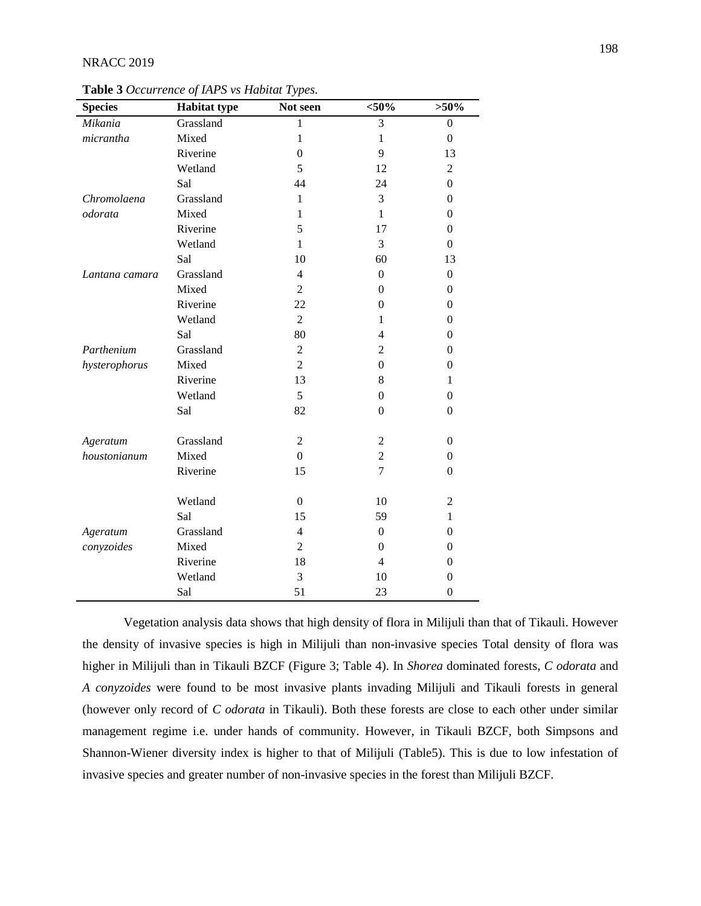#### NRACC 2019

| <b>Species</b> | <b>Habitat type</b> | Not seen         | $<$ 50%          | $>50\%$          |
|----------------|---------------------|------------------|------------------|------------------|
| Mikania        | Grassland           | 1                | 3                | $\boldsymbol{0}$ |
| micrantha      | Mixed               | $\mathbf{1}$     | $\mathbf{1}$     | $\boldsymbol{0}$ |
|                | Riverine            | $\boldsymbol{0}$ | 9                | 13               |
|                | Wetland             | 5                | 12               | $\overline{2}$   |
|                | Sal                 | 44               | 24               | $\overline{0}$   |
| Chromolaena    | Grassland           | 1                | 3                | $\boldsymbol{0}$ |
| odorata        | Mixed               | 1                | $\mathbf{1}$     | $\boldsymbol{0}$ |
|                | Riverine            | 5                | 17               | $\boldsymbol{0}$ |
|                | Wetland             | $\mathbf{1}$     | 3                | $\boldsymbol{0}$ |
|                | Sal                 | 10               | 60               | 13               |
| Lantana camara | Grassland           | $\overline{4}$   | $\boldsymbol{0}$ | $\boldsymbol{0}$ |
|                | Mixed               | 2                | $\theta$         | $\theta$         |
|                | Riverine            | 22               | $\overline{0}$   | $\boldsymbol{0}$ |
|                | Wetland             | $\overline{2}$   | 1                | $\theta$         |
|                | Sal                 | 80               | $\overline{4}$   | $\boldsymbol{0}$ |
| Parthenium     | Grassland           | 2                | 2                | $\theta$         |
| hysterophorus  | Mixed               | $\overline{2}$   | $\boldsymbol{0}$ | $\boldsymbol{0}$ |
|                | Riverine            | 13               | 8                | 1                |
|                | Wetland             | 5                | $\boldsymbol{0}$ | $\boldsymbol{0}$ |
|                | Sal                 | 82               | $\theta$         | $\Omega$         |
| Ageratum       | Grassland           | $\overline{2}$   | $\overline{c}$   | $\boldsymbol{0}$ |
| houstonianum   | Mixed               | $\overline{0}$   | $\overline{c}$   | $\boldsymbol{0}$ |
|                | Riverine            | 15               | $\overline{7}$   | $\theta$         |
|                | Wetland             |                  |                  |                  |
|                |                     | $\overline{0}$   | 10               | $\boldsymbol{2}$ |
|                | Sal                 | 15               | 59               | $\mathbf{1}$     |
| Ageratum       | Grassland           | $\overline{4}$   | $\boldsymbol{0}$ | $\boldsymbol{0}$ |
| conyzoides     | Mixed               | $\overline{2}$   | $\overline{0}$   | $\boldsymbol{0}$ |
|                | Riverine            | 18               | $\overline{4}$   | $\boldsymbol{0}$ |
|                | Wetland             | 3                | 10               | $\theta$         |
|                | Sal                 | 51               | 23               | $\boldsymbol{0}$ |

**Table 3** *Occurrence of IAPS vs Habitat Types.*

Vegetation analysis data shows that high density of flora in Milijuli than that of Tikauli. However the density of invasive species is high in Milijuli than non-invasive species Total density of flora was higher in Milijuli than in Tikauli BZCF (Figure 3; Table 4). In *Shorea* dominated forests, *C odorata* and *A conyzoides* were found to be most invasive plants invading Milijuli and Tikauli forests in general (however only record of *C odorata* in Tikauli). Both these forests are close to each other under similar management regime i.e. under hands of community. However, in Tikauli BZCF, both Simpsons and Shannon-Wiener diversity index is higher to that of Milijuli (Table5). This is due to low infestation of invasive species and greater number of non-invasive species in the forest than Milijuli BZCF.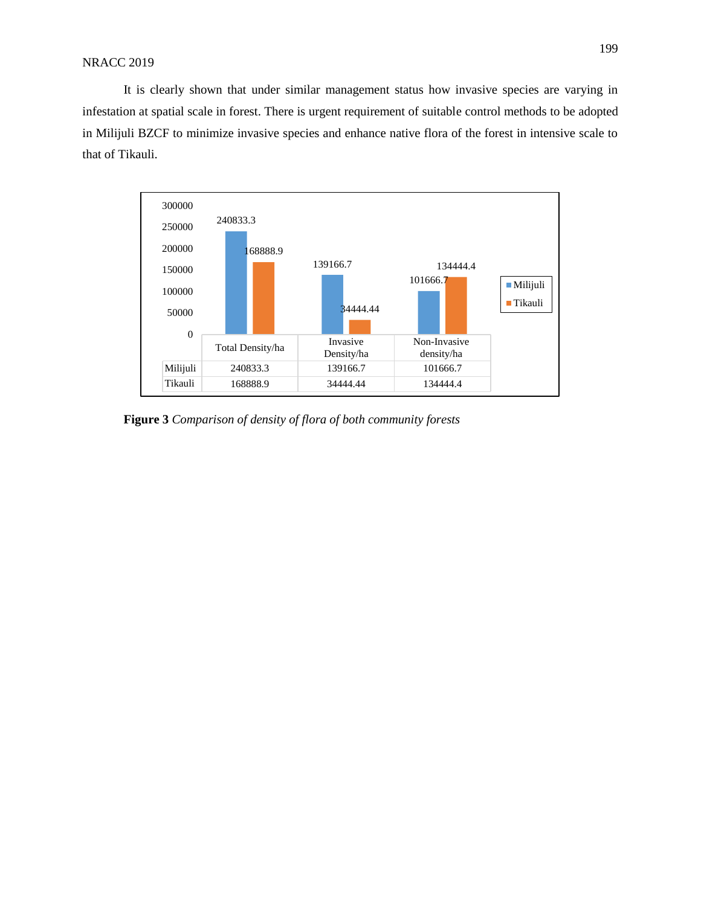It is clearly shown that under similar management status how invasive species are varying in infestation at spatial scale in forest. There is urgent requirement of suitable control methods to be adopted in Milijuli BZCF to minimize invasive species and enhance native flora of the forest in intensive scale to that of Tikauli.



**Figure 3** *Comparison of density of flora of both community forests*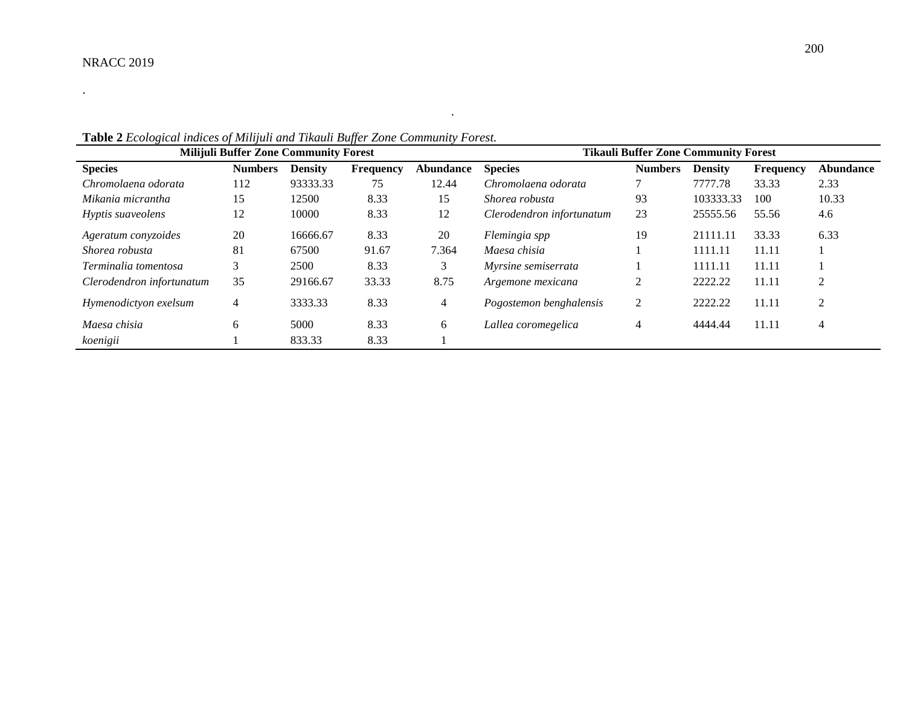.

| <b>Milijuli Buffer Zone Community Forest</b> |                |                |           |                  | <b>Tikauli Buffer Zone Community Forest</b> |                |                |                  |                  |
|----------------------------------------------|----------------|----------------|-----------|------------------|---------------------------------------------|----------------|----------------|------------------|------------------|
| <b>Species</b>                               | <b>Numbers</b> | <b>Density</b> | Frequency | <b>Abundance</b> | <b>Species</b>                              | <b>Numbers</b> | <b>Density</b> | <b>Frequency</b> | <b>Abundance</b> |
| Chromolaena odorata                          | 112            | 93333.33       | 75        | 12.44            | Chromolaena odorata                         |                | 7777.78        | 33.33            | 2.33             |
| Mikania micrantha                            | 15             | 12500          | 8.33      | 15               | Shorea robusta                              | 93             | 103333.33      | 100              | 10.33            |
| Hyptis suaveolens                            | 12             | 10000          | 8.33      | 12               | Clerodendron infortunatum                   | 23             | 25555.56       | 55.56            | 4.6              |
| Ageratum convzoides                          | 20             | 16666.67       | 8.33      | 20               | Flemingia spp                               | 19             | 21111.11       | 33.33            | 6.33             |
| Shorea robusta                               | 81             | 67500          | 91.67     | 7.364            | Maesa chisia                                |                | 1111.11        | 11.11            |                  |
| Terminalia tomentosa                         | 3              | 2500           | 8.33      | 3                | Myrsine semiserrata                         |                | 1111.11        | 11.11            |                  |
| Clerodendron infortunatum                    | 35             | 29166.67       | 33.33     | 8.75             | Argemone mexicana                           | 2              | 2222.22        | 11.11            |                  |
| Hymenodictyon exelsum                        | 4              | 3333.33        | 8.33      | 4                | Pogostemon benghalensis                     | 2              | 2222.22        | 11.11            | 2                |
| Maesa chisia                                 | 6              | 5000           | 8.33      | 6                | Lallea coromegelica                         | 4              | 4444.44        | 11.11            | 4                |
| koenigii                                     |                | 833.33         | 8.33      |                  |                                             |                |                |                  |                  |

*.*

**Table 2** *Ecological indices of Milijuli and Tikauli Buffer Zone Community Forest.*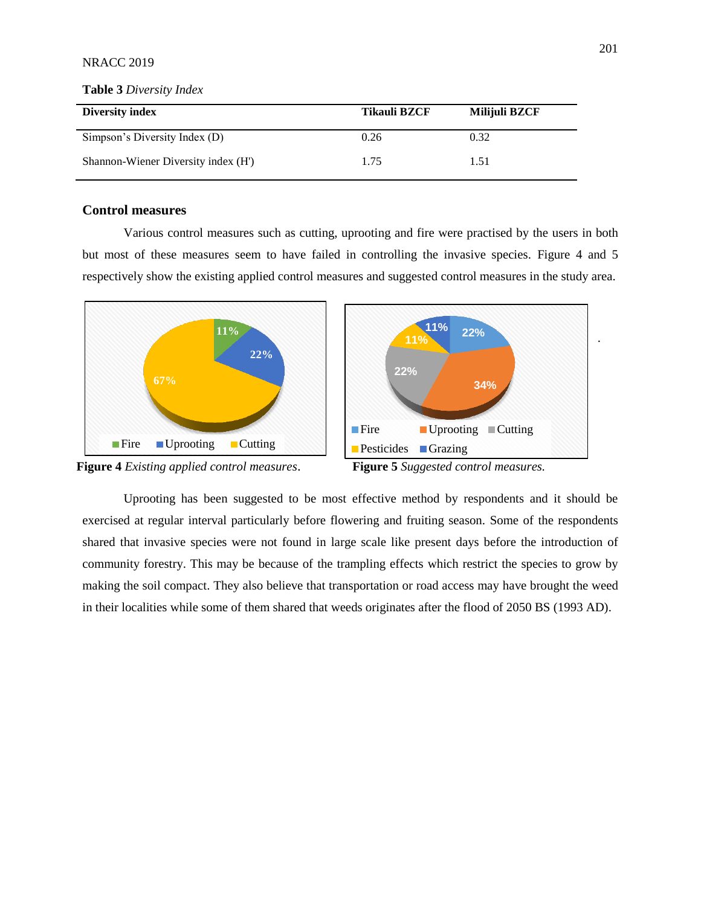#### NRACC 2019

# **Diversity index Tikauli BZCF Milijuli BZCF**  Simpson's Diversity Index (D) 0.26 0.32 Shannon-Wiener Diversity index (H') 1.75 1.51

#### **Table 3** *Diversity Index*

### **Control measures**

Various control measures such as cutting, uprooting and fire were practised by the users in both but most of these measures seem to have failed in controlling the invasive species. Figure 4 and 5 respectively show the existing applied control measures and suggested control measures in the study area.







Uprooting has been suggested to be most effective method by respondents and it should be exercised at regular interval particularly before flowering and fruiting season. Some of the respondents shared that invasive species were not found in large scale like present days before the introduction of community forestry. This may be because of the trampling effects which restrict the species to grow by making the soil compact. They also believe that transportation or road access may have brought the weed in their localities while some of them shared that weeds originates after the flood of 2050 BS (1993 AD).

.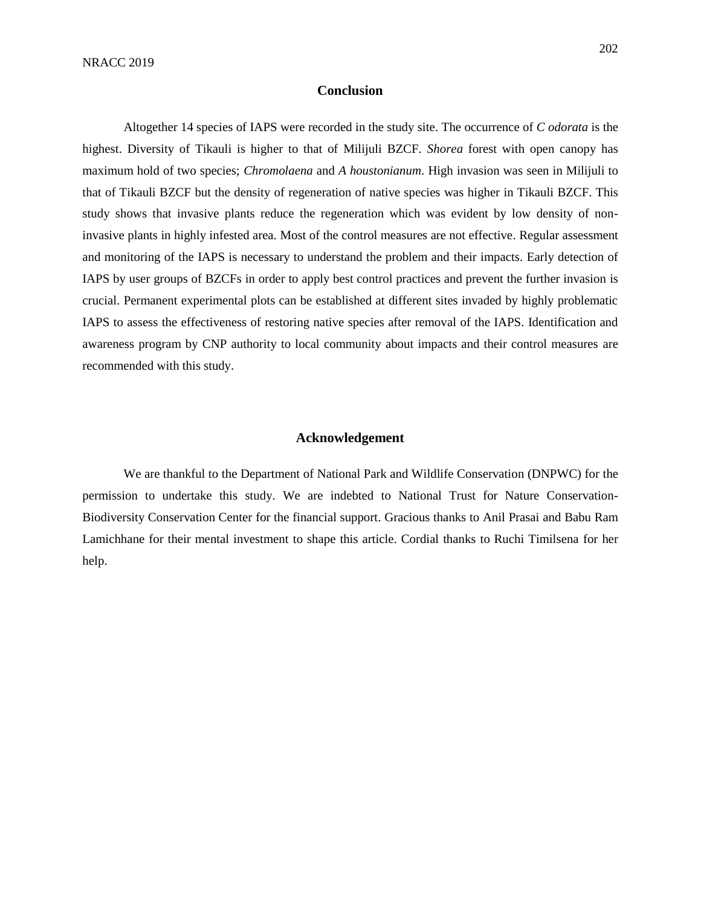#### **Conclusion**

Altogether 14 species of IAPS were recorded in the study site. The occurrence of *C odorata* is the highest. Diversity of Tikauli is higher to that of Milijuli BZCF. *Shorea* forest with open canopy has maximum hold of two species; *Chromolaena* and *A houstonianum*. High invasion was seen in Milijuli to that of Tikauli BZCF but the density of regeneration of native species was higher in Tikauli BZCF. This study shows that invasive plants reduce the regeneration which was evident by low density of noninvasive plants in highly infested area. Most of the control measures are not effective. Regular assessment and monitoring of the IAPS is necessary to understand the problem and their impacts. Early detection of IAPS by user groups of BZCFs in order to apply best control practices and prevent the further invasion is crucial. Permanent experimental plots can be established at different sites invaded by highly problematic IAPS to assess the effectiveness of restoring native species after removal of the IAPS. Identification and awareness program by CNP authority to local community about impacts and their control measures are recommended with this study.

## **Acknowledgement**

We are thankful to the Department of National Park and Wildlife Conservation (DNPWC) for the permission to undertake this study. We are indebted to National Trust for Nature Conservation-Biodiversity Conservation Center for the financial support. Gracious thanks to Anil Prasai and Babu Ram Lamichhane for their mental investment to shape this article. Cordial thanks to Ruchi Timilsena for her help.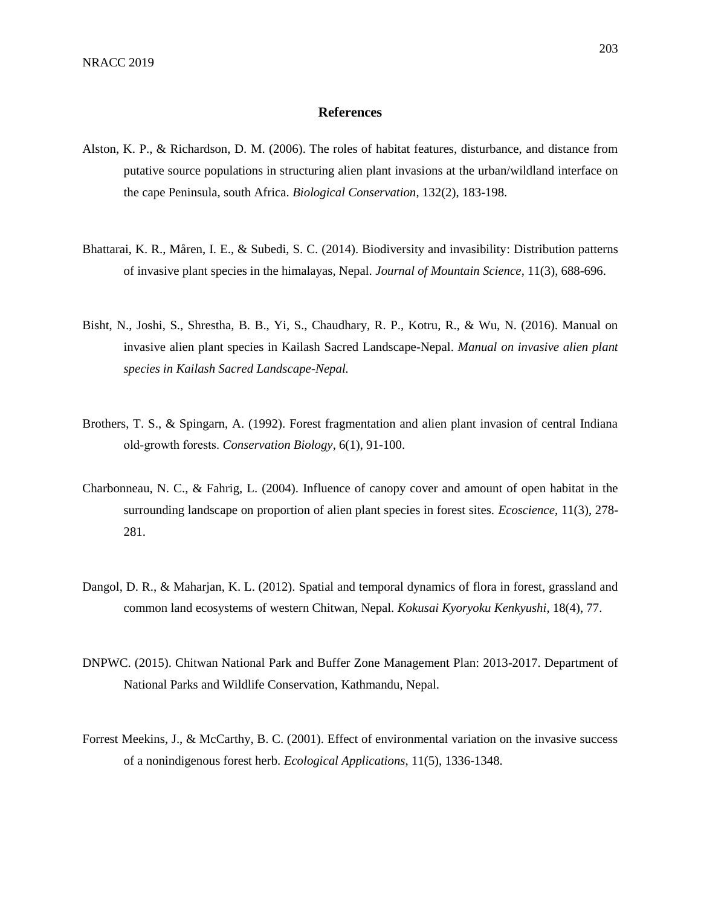#### **References**

- Alston, K. P., & Richardson, D. M. (2006). The roles of habitat features, disturbance, and distance from putative source populations in structuring alien plant invasions at the urban/wildland interface on the cape Peninsula, south Africa. *Biological Conservation*, 132(2), 183-198.
- Bhattarai, K. R., Måren, I. E., & Subedi, S. C. (2014). Biodiversity and invasibility: Distribution patterns of invasive plant species in the himalayas, Nepal. *Journal of Mountain Science*, 11(3), 688-696.
- Bisht, N., Joshi, S., Shrestha, B. B., Yi, S., Chaudhary, R. P., Kotru, R., & Wu, N. (2016). Manual on invasive alien plant species in Kailash Sacred Landscape-Nepal. *Manual on invasive alien plant species in Kailash Sacred Landscape-Nepal.*
- Brothers, T. S., & Spingarn, A. (1992). Forest fragmentation and alien plant invasion of central Indiana old‐growth forests. *Conservation Biology*, 6(1), 91-100.
- Charbonneau, N. C., & Fahrig, L. (2004). Influence of canopy cover and amount of open habitat in the surrounding landscape on proportion of alien plant species in forest sites. *Ecoscience*, 11(3), 278- 281.
- Dangol, D. R., & Maharjan, K. L. (2012). Spatial and temporal dynamics of flora in forest, grassland and common land ecosystems of western Chitwan, Nepal*. Kokusai Kyoryoku Kenkyushi*, 18(4), 77.
- DNPWC. (2015). Chitwan National Park and Buffer Zone Management Plan: 2013-2017. Department of National Parks and Wildlife Conservation, Kathmandu, Nepal.
- Forrest Meekins, J., & McCarthy, B. C. (2001). Effect of environmental variation on the invasive success of a nonindigenous forest herb. *Ecological Applications*, 11(5), 1336-1348.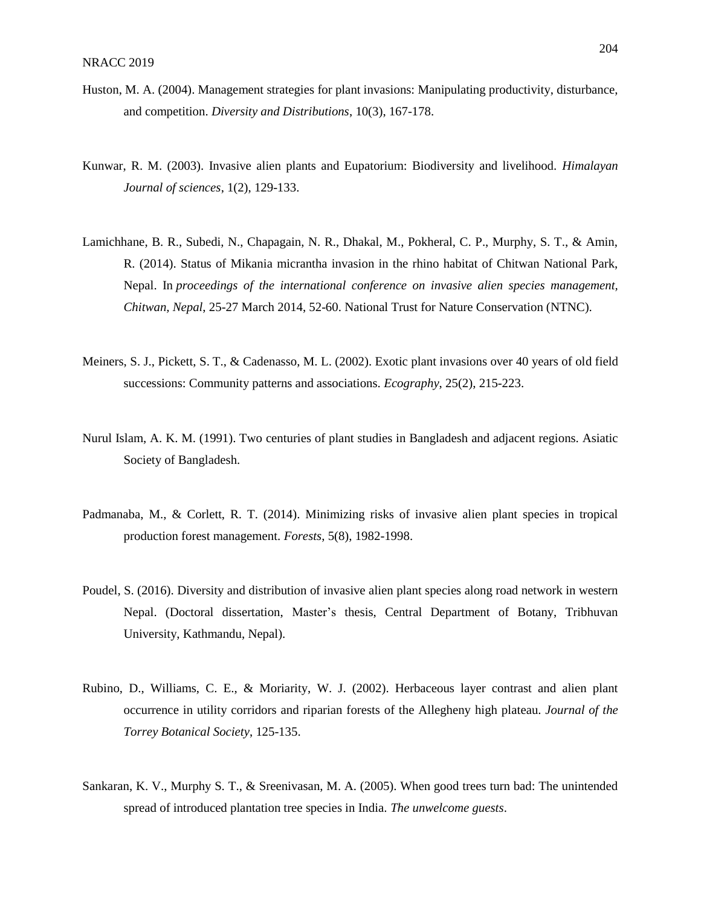- Huston, M. A. (2004). Management strategies for plant invasions: Manipulating productivity, disturbance, and competition. *Diversity and Distributions*, 10(3), 167-178.
- Kunwar, R. M. (2003). Invasive alien plants and Eupatorium: Biodiversity and livelihood. *Himalayan Journal of sciences*, 1(2), 129-133.
- Lamichhane, B. R., Subedi, N., Chapagain, N. R., Dhakal, M., Pokheral, C. P., Murphy, S. T., & Amin, R. (2014). Status of Mikania micrantha invasion in the rhino habitat of Chitwan National Park, Nepal. In *proceedings of the international conference on invasive alien species management, Chitwan, Nepal*, 25-27 March 2014, 52-60. National Trust for Nature Conservation (NTNC).
- Meiners, S. J., Pickett, S. T., & Cadenasso, M. L. (2002). Exotic plant invasions over 40 years of old field successions: Community patterns and associations. *Ecography*, 25(2), 215-223.
- Nurul Islam, A. K. M. (1991). Two centuries of plant studies in Bangladesh and adjacent regions. Asiatic Society of Bangladesh.
- Padmanaba, M., & Corlett, R. T. (2014). Minimizing risks of invasive alien plant species in tropical production forest management. *Forests*, 5(8), 1982-1998.
- Poudel, S. (2016). Diversity and distribution of invasive alien plant species along road network in western Nepal. (Doctoral dissertation, Master's thesis, Central Department of Botany, Tribhuvan University, Kathmandu, Nepal).
- Rubino, D., Williams, C. E., & Moriarity, W. J. (2002). Herbaceous layer contrast and alien plant occurrence in utility corridors and riparian forests of the Allegheny high plateau. *Journal of the Torrey Botanical Society*, 125-135.
- Sankaran, K. V., Murphy S. T., & Sreenivasan, M. A. (2005). When good trees turn bad: The unintended spread of introduced plantation tree species in India. *The unwelcome guests*.